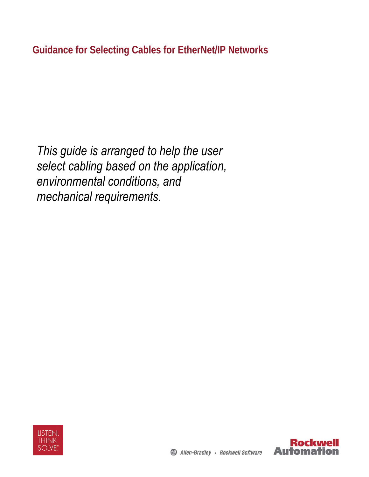*This guide is arranged to help the user select cabling based on the application, environmental conditions, and mechanical requirements.* 



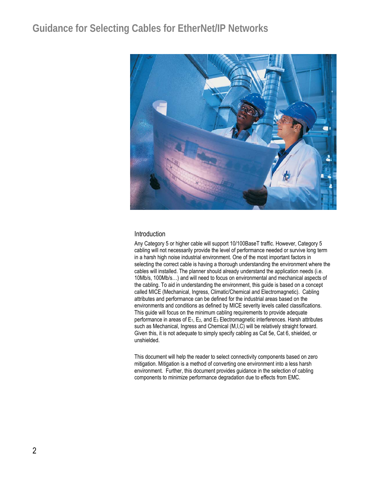

#### Introduction

Any Category 5 or higher cable will support 10/100BaseT traffic. However, Category 5 cabling will not necessarily provide the level of performance needed or survive long term in a harsh high noise industrial environment. One of the most important factors in selecting the correct cable is having a thorough understanding the environment where the cables will installed. The planner should already understand the application needs (i.e. 10Mb/s, 100Mb/s…) and will need to focus on environmental and mechanical aspects of the cabling. To aid in understanding the environment, this guide is based on a concept called MICE (Mechanical, Ingress, Climatic/Chemical and Electromagnetic). Cabling attributes and performance can be defined for the industrial areas based on the environments and conditions as defined by MICE severity levels called classifications. This guide will focus on the minimum cabling requirements to provide adequate performance in areas of E1, E2, and E3 Electromagnetic interferences. Harsh attributes such as Mechanical, Ingress and Chemical (M,I,C) will be relatively straight forward. Given this, it is not adequate to simply specify cabling as Cat 5e, Cat 6, shielded, or unshielded.

This document will help the reader to select connectivity components based on zero mitigation. Mitigation is a method of converting one environment into a less harsh environment. Further, this document provides guidance in the selection of cabling components to minimize performance degradation due to effects from EMC.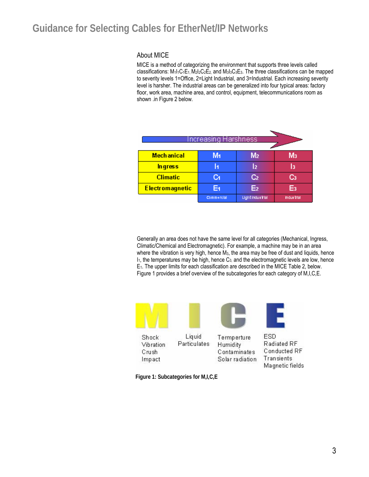#### About MICE

MICE is a method of categorizing the environment that supports three levels called classifications:  $M_1I_1C_1E_1 M_2I_2C_2E_2$  and  $M_3I_3C_3E_3$ . The three classifications can be mapped to severity levels 1=Office, 2=Light Industrial, and 3=Industrial. Each increasing severity level is harsher. The industrial areas can be generalized into four typical areas: factory floor, work area, machine area, and control, equipment, telecommunications room as shown .in Figure 2 below.

| Increasing Harshnessi  |            |                         |           |  |  |
|------------------------|------------|-------------------------|-----------|--|--|
|                        |            |                         |           |  |  |
| <b>Mechanical</b>      | M1         | M <sub>2</sub>          | Μз        |  |  |
| <b>Ingress</b>         |            | I۶                      |           |  |  |
| <b>Climatic</b>        | Cл         | ငာ                      |           |  |  |
| <b>Electromagnetic</b> | E4         | E <sub>2</sub>          | F,        |  |  |
|                        | Commercial | <b>Light Industrial</b> | Indurbial |  |  |

Generally an area does not have the same level for all categories (Mechanical, Ingress, Climatic/Chemical and Electromagnetic). For example, a machine may be in an area where the vibration is very high, hence M<sub>3</sub>, the area may be free of dust and liquids, hence  $I<sub>1</sub>$ , the temperatures may be high, hence  $C<sub>3</sub>$ , and the electromagnetic levels are low, hence E1. The upper limits for each classification are described in the MICE Table 2, below. Figure 1 provides a brief overview of the subcategories for each category of M,I,C,E.



**Figure 1: Subcategories for M,I,C,E**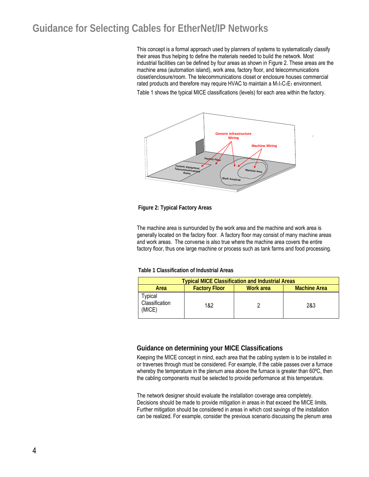This concept is a formal approach used by planners of systems to systematically classify their areas thus helping to define the materials needed to build the network. Most industrial facilities can be defined by four areas as shown in Figure 2. These areas are the machine area (automation island), work area, factory floor, and telecommunications closet/enclosure/room. The telecommunications closet or enclosure houses commercial rated products and therefore may require HVAC to maintain a  $M_1I_1C_1E_1$  environment.

Table 1 shows the typical MICE classifications (levels) for each area within the factory.



#### **Figure 2: Typical Factory Areas**

The machine area is surrounded by the work area and the machine and work area is generally located on the factory floor. A factory floor may consist of many machine areas and work areas. The converse is also true where the machine area covers the entire factory floor, thus one large machine or process such as tank farms and food processing.

#### **Table 1 Classification of Industrial Areas**

| <b>Typical MICE Classification and Industrial Areas</b> |                                                          |  |     |  |  |  |
|---------------------------------------------------------|----------------------------------------------------------|--|-----|--|--|--|
| Area                                                    | Work area<br><b>Machine Area</b><br><b>Factory Floor</b> |  |     |  |  |  |
| ⊺ypical<br>Classification<br>(MICE)                     | 1&2                                                      |  | 2&3 |  |  |  |

#### **Guidance on determining your MICE Classifications**

Keeping the MICE concept in mind, each area that the cabling system is to be installed in or traverses through must be considered. For example, if the cable passes over a furnace whereby the temperature in the plenum area above the furnace is greater than 60°C, then the cabling components must be selected to provide performance at this temperature.

The network designer should evaluate the installation coverage area completely. Decisions should be made to provide mitigation in areas in that exceed the MICE limits. Further mitigation should be considered in areas in which cost savings of the installation can be realized. For example, consider the previous scenario discussing the plenum area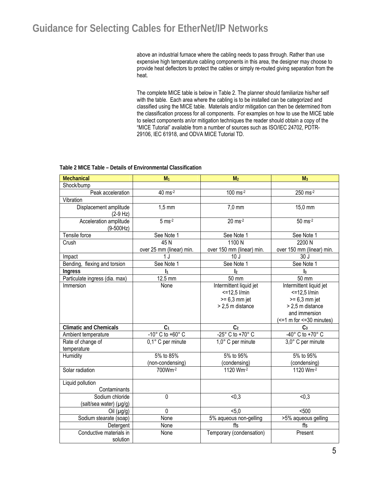above an industrial furnace where the cabling needs to pass through. Rather than use expensive high temperature cabling components in this area, the designer may choose to provide heat deflectors to protect the cables or simply re-routed giving separation from the heat.

The complete MICE table is below in Table 2. The planner should familiarize his/her self with the table. Each area where the cabling is to be installed can be categorized and classified using the MICE table. Materials and/or mitigation can then be determined from the classification process for all components. For examples on how to use the MICE table to select components an/or mitigation techniques the reader should obtain a copy of the "MICE Tutorial" available from a number of sources such as ISO/IEC 24702, PDTR-29106, IEC 61918, and ODVA MICE Tutorial TD.

| <b>Mechanical</b>                          | M <sub>1</sub>                     | M <sub>2</sub>                                                                   | M <sub>3</sub>                                                                                                                |  |  |  |  |
|--------------------------------------------|------------------------------------|----------------------------------------------------------------------------------|-------------------------------------------------------------------------------------------------------------------------------|--|--|--|--|
| Shock/bump                                 |                                    |                                                                                  |                                                                                                                               |  |  |  |  |
| Peak acceleration                          | 40 ms-2                            | 100 ms-2                                                                         | 250 ms-2                                                                                                                      |  |  |  |  |
| Vibration                                  |                                    |                                                                                  |                                                                                                                               |  |  |  |  |
| Displacement amplitude<br>$(2-9 Hz)$       | $1,5$ mm                           | $7,0$ mm                                                                         | 15,0 mm                                                                                                                       |  |  |  |  |
| Acceleration amplitude<br>$(9 - 500 Hz)$   | $5 \text{ ms}^{-2}$                | $20 \text{ ms}^{-2}$                                                             | $50$ ms <sup>-2</sup>                                                                                                         |  |  |  |  |
| Tensile force                              | See Note 1                         | See Note 1                                                                       | See Note 1                                                                                                                    |  |  |  |  |
| Crush                                      | 45N                                | 1100N                                                                            | 2200 N                                                                                                                        |  |  |  |  |
|                                            | over 25 mm (linear) min.           | over 150 mm (linear) min.                                                        | over 150 mm (linear) min.                                                                                                     |  |  |  |  |
| Impact                                     | 1 <sub>J</sub>                     | 10J                                                                              | 30J                                                                                                                           |  |  |  |  |
| flexing and torsion<br>Bending,            | See Note 1                         | See Note 1                                                                       | See Note 1                                                                                                                    |  |  |  |  |
| Ingress                                    | $\mathbf{I}_1$                     | $\mathsf{I}_2$                                                                   | $\mathbf{I}_3$                                                                                                                |  |  |  |  |
| Particulate ingress (dia. max)             | 12.5 mm                            | $\overline{50}$ mm                                                               | 50 mm                                                                                                                         |  |  |  |  |
| Immersion                                  | None                               | Intermittent liquid jet<br>$<=12.5$ l/min<br>$>= 6.3$ mm jet<br>> 2,5 m distance | Intermittent liquid jet<br>$<=12.5$ l/min<br>$>= 6.3$ mm jet<br>> 2,5 m distance<br>and immersion<br>(<=1 m for <=30 minutes) |  |  |  |  |
| <b>Climatic and Chemicals</b>              | C <sub>1</sub>                     | C <sub>2</sub>                                                                   | C <sub>3</sub>                                                                                                                |  |  |  |  |
| Ambient temperature                        | $-10^{\circ}$ C to $+60^{\circ}$ C | -25° C to +70° C                                                                 | $-40^\circ$ C to +70 $\circ$ C                                                                                                |  |  |  |  |
| Rate of change of<br>temperature           | 0,1° C per minute                  | 1,0° C per minute                                                                | 3,0° C per minute                                                                                                             |  |  |  |  |
| Humidity                                   | 5% to 85%                          | 5% to 95%                                                                        | 5% to 95%                                                                                                                     |  |  |  |  |
|                                            | (non-condensing)                   | (condensing)                                                                     | (condensing)                                                                                                                  |  |  |  |  |
| Solar radiation                            | 700Wm-2                            | 1120 Wm-2                                                                        | 1120 Wm-2                                                                                                                     |  |  |  |  |
| Liquid pollution                           |                                    |                                                                                  |                                                                                                                               |  |  |  |  |
| Contaminants                               |                                    |                                                                                  |                                                                                                                               |  |  |  |  |
| Sodium chloride<br>(salt/sea water) (µg/g) | $\mathbf 0$                        | < 0, 3                                                                           | < 0, 3                                                                                                                        |  |  |  |  |
| Oil $(\mu g/g)$                            | $\mathbf{0}$                       | 5,0                                                                              | 500                                                                                                                           |  |  |  |  |
| Sodium stearate (soap)                     | None                               | 5% aqueous non-gelling                                                           | >5% aqueous gelling                                                                                                           |  |  |  |  |
| Detergent                                  | None                               | ffs                                                                              | ffs                                                                                                                           |  |  |  |  |
| Conductive materials in<br>solution        | None                               | Temporary (condensation)                                                         | Present                                                                                                                       |  |  |  |  |

#### **Table 2 MICE Table – Details of Environmental Classification**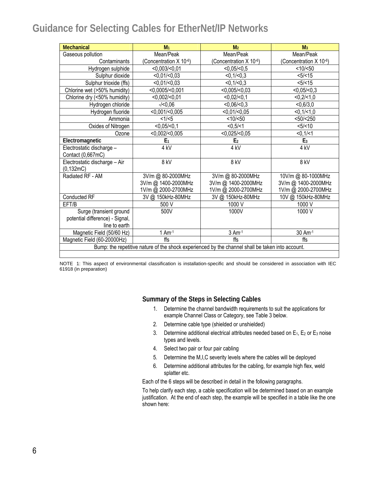| <b>Mechanical</b>                                                                                | M <sub>1</sub>         | M <sub>2</sub>         | M <sub>3</sub>         |  |
|--------------------------------------------------------------------------------------------------|------------------------|------------------------|------------------------|--|
| Gaseous pollution                                                                                | Mean/Peak              | Mean/Peak              | Mean/Peak              |  |
| Contaminants                                                                                     | (Concentration X 10-6) | (Concentration X 10-6) | (Concentration X 10-6) |  |
| Hydrogen sulphide                                                                                | <0,003/ <0,01          | $<0,05/-0,5$           | <10/50                 |  |
| Sulphur dioxide                                                                                  | <0.01/<0.03            | < 0, 1 / < 0, 3        | <5/ < 15               |  |
| Sulphur trioxide (ffs)                                                                           | <0.01/<0.03            | < 0.1 / < 0.3          | <5/ < 15               |  |
| Chlorine wet (>50% humidity)                                                                     | $<$ 0,0005/ $<$ 0,001  | $<0,005/-0,03$         | $<0,05/-0,3$           |  |
| Chlorine dry (<50% humidity)                                                                     | <0,002/<0,01           | <0,02/<0,1             | <0,2/<1,0              |  |
| Hydrogen chloride                                                                                | $-/-0.06$              | $<0,06/-0,3$           | < 0, 6/3, 0            |  |
| Hydrogen fluoride                                                                                | <0.001/<0.005          | <0,01/<0,05            | <0,1/<1,0              |  |
| Ammonia                                                                                          | <1/5                   | <10/50                 | $<$ 50/ $<$ 250        |  |
| Oxides of Nitrogen                                                                               | <0.05/<0.1             | $<0,5/-1$              | < 5 / < 10             |  |
| Ozone                                                                                            | <0,002/<0,005          | <0,025/<0,05           | < 0, 1/ < 1            |  |
| Electromagnetic                                                                                  | E <sub>1</sub>         | E <sub>2</sub>         | E <sub>3</sub>         |  |
| Electrostatic discharge -                                                                        | 4 <sub>kV</sub>        | 4 <sub>kV</sub>        | 4 <sub>kV</sub>        |  |
| Contact (0,667mC)                                                                                |                        |                        |                        |  |
| Electrostatic discharge - Air<br>(0, 132mC)                                                      | 8 kV                   | 8 kV                   | 8 kV                   |  |
| Radiated RF - AM                                                                                 | 3V/m @ 80-2000MHz      | 3V/m @ 80-2000MHz      | 10V/m @ 80-1000MHz     |  |
|                                                                                                  | 3V/m @ 1400-2000MHz    | 3V/m @ 1400-2000MHz    | 3V/m @ 1400-2000MHz    |  |
|                                                                                                  | 1V/m @ 2000-2700MHz    | 1V/m @ 2000-2700MHz    | 1V/m @ 2000-2700MHz    |  |
| Conducted RF                                                                                     | 3V @ 150kHz-80MHz      | 3V @ 150kHz-80MHz      | 10V @ 150kHz-80MHz     |  |
| EFT/B                                                                                            | 500 V                  | 1000 V                 | 1000 V                 |  |
| Surge (transient ground                                                                          | 500V                   | 1000V                  | 1000 V                 |  |
| potential difference) - Signal,                                                                  |                        |                        |                        |  |
| line to earth                                                                                    |                        |                        |                        |  |
| Magnetic Field (50/60 Hz)                                                                        | $1$ Am $-1$            | $3$ Am $-1$            | 30 Am-1                |  |
| Magnetic Field (60-20000Hz)                                                                      | ffs                    | ffs                    | ffs                    |  |
| Bump: the repetitive nature of the shock experienced by the channel shall be taken into account. |                        |                        |                        |  |
|                                                                                                  |                        |                        |                        |  |

NOTE 1: This aspect of environmental classification is installation-specific and should be considered in association with IEC 61918 (in preparation)

### **Summary of the Steps in Selecting Cables**

- 1. Determine the channel bandwidth requirements to suit the applications for example Channel Class or Category, see Table 3 below.
- 2. Determine cable type (shielded or unshielded)
- 3. Determine additional electrical attributes needed based on  $E_1$ ,  $E_2$  or  $E_3$  noise types and levels.
- 4. Select two pair or four pair cabling
- 5. Determine the M,I,C severity levels where the cables will be deployed
- 6. Determine additional attributes for the cabling, for example high flex, weld splatter etc.

Each of the 6 steps will be described in detail in the following paragraphs.

To help clarify each step, a cable specification will be determined based on an example justification. At the end of each step, the example will be specified in a table like the one shown here: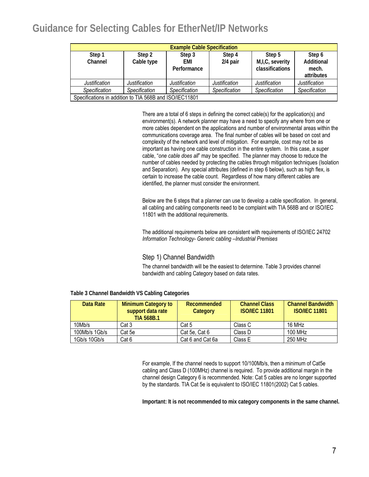| <b>Example Cable Specification</b> |                                                         |                              |                      |                                              |                                             |  |
|------------------------------------|---------------------------------------------------------|------------------------------|----------------------|----------------------------------------------|---------------------------------------------|--|
| Step 1<br>Channel                  | Step 2<br>Cable type                                    | Step 3<br>EMI<br>Performance | Step 4<br>$2/4$ pair | Step 5<br>M,I,C, severity<br>classifications | Step 6<br>Additional<br>mech.<br>attributes |  |
| Justification                      | Justification                                           | Justification                | Justification        | <b>Justification</b>                         | Justification                               |  |
| Specification                      | Specification                                           | Specification                | Specification        | Specification                                | Specification                               |  |
|                                    | Specifications in addition to TIA 568B and ISO/IEC11801 |                              |                      |                                              |                                             |  |

There are a total of 6 steps in defining the correct cable(s) for the application(s) and environment(s). A network planner may have a need to specify any where from one or more cables dependent on the applications and number of environmental areas within the communications coverage area. The final number of cables will be based on cost and complexity of the network and level of mitigation. For example, cost may not be as important as having one cable construction in the entire system. In this case, a super cable, "*one cable does all*" may be specified. The planner may choose to reduce the number of cables needed by protecting the cables through mitigation techniques (Isolation and Separation). Any special attributes (defined in step 6 below), such as high flex, is certain to increase the cable count. Regardless of how many different cables are identified, the planner must consider the environment.

Below are the 6 steps that a planner can use to develop a cable specification. In general, all cabling and cabling components need to be complaint with TIA 568B and or ISO/IEC 11801 with the additional requirements.

The additional requirements below are consistent with requirements of ISO/IEC 24702 *Information Technology- Generic cabling –Industrial Premises* 

### Step 1) Channel Bandwidth

The channel bandwidth will be the easiest to determine. Table 3 provides channel bandwidth and cabling Category based on data rates.

| Data Rate     | <b>Minimum Category to</b><br>support data rate<br><b>TIA 568B.1</b> | <b>Recommended</b><br>Category | <b>Channel Class</b><br><b>ISO/IEC 11801</b> | <b>Channel Bandwidth</b><br><b>ISO/IFC 11801</b> |
|---------------|----------------------------------------------------------------------|--------------------------------|----------------------------------------------|--------------------------------------------------|
| 10Mb/s        | Cat 3                                                                | Cat 5                          | Class C                                      | 16 MHz                                           |
| 100Mb/s 1Gb/s | Cat 5e                                                               | Cat 5e, Cat 6                  | Class D                                      | 100 MHz                                          |
| 1Gb/s 10Gb/s  | Cat 6                                                                | Cat 6 and Cat 6a               | Class E                                      | 250 MHz                                          |

**Table 3 Channel Bandwidth VS Cabling Categories** 

For example, If the channel needs to support 10/100Mb/s, then a minimum of Cat5e cabling and Class D (100MHz) channel is required. To provide additional margin in the channel design Category 6 is recommended. Note: Cat 5 cables are no longer supported by the standards. TIA Cat 5e is equivalent to ISO/IEC 11801(2002) Cat 5 cables.

**Important: It is not recommended to mix category components in the same channel.**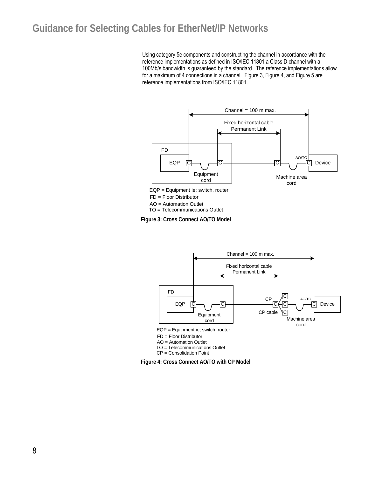Using category 5e components and constructing the channel in accordance with the reference implementations as defined in ISO/IEC 11801 a Class D channel with a 100Mb/s bandwidth is guaranteed by the standard. The reference implementations allow for a maximum of 4 connections in a channel. Figure 3, Figure 4, and Figure 5 are reference implementations from ISO/IEC 11801.



FD = Floor Distributor

AO = Automation Outlet

TO = Telecommunications Outlet

**Figure 3: Cross Connect AO/TO Model** 



**Figure 4: Cross Connect AO/TO with CP Model**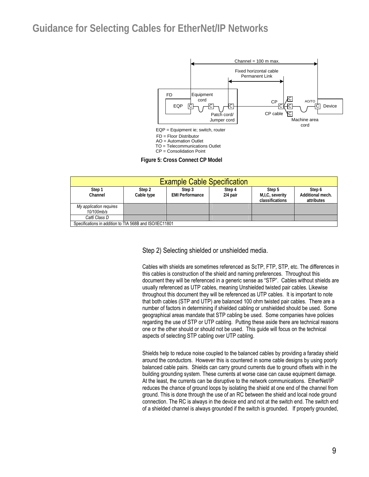

| <b>Example Cable Specification</b> |                                                         |                        |            |                 |                  |  |
|------------------------------------|---------------------------------------------------------|------------------------|------------|-----------------|------------------|--|
| Step 1                             | Step 2                                                  | Step 3                 | Step 4     | Step 5          | Step 6           |  |
| Channel                            | Cable type                                              | <b>EMI Performance</b> | $2/4$ pair | M,I,C, severity | Additional mech. |  |
|                                    |                                                         |                        |            | classifications | attributes       |  |
| My application requires            |                                                         |                        |            |                 |                  |  |
| 10/100mb/s                         |                                                         |                        |            |                 |                  |  |
| Cat6 Class D                       |                                                         |                        |            |                 |                  |  |
|                                    | Specifications in addition to TIA 568B and ISO/IEC11801 |                        |            |                 |                  |  |

Step 2) Selecting shielded or unshielded media.

Cables with shields are sometimes referenced as ScTP, FTP, STP, etc. The differences in this cables is construction of the shield and naming preferences. Throughout this document they will be referenced in a generic sense as "STP". Cables without shields are usually referenced as UTP cables, meaning Unshielded twisted pair cables. Likewise throughout this document they will be referenced as UTP cables. It is important to note that both cables (STP and UTP) are balanced 100 ohm twisted pair cables. There are a number of factors in determining if shielded cabling or unshielded should be used. Some geographical areas mandate that STP cabling be used. Some companies have policies regarding the use of STP or UTP cabling. Putting these aside there are technical reasons one or the other should or should not be used. This guide will focus on the technical aspects of selecting STP cabling over UTP cabling.

Shields help to reduce noise coupled to the balanced cables by providing a faraday shield around the conductors. However this is countered in some cable designs by using poorly balanced cable pairs. Shields can carry ground currents due to ground offsets with in the building grounding system. These currents at worse case can cause equipment damage. At the least, the currents can be disruptive to the network communications. EtherNet/IP reduces the chance of ground loops by isolating the shield at one end of the channel from ground. This is done through the use of an RC between the shield and local node ground connection. The RC is always in the device end and not at the switch end. The switch end of a shielded channel is always grounded if the switch is grounded. If properly grounded,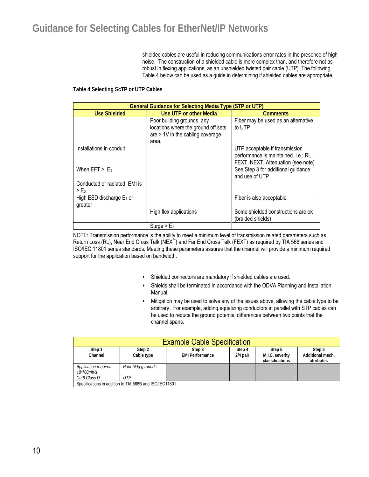shielded cables are useful in reducing communications error rates in the presence of high noise. The construction of a shielded cable is more complex than, and therefore not as robust in flexing applications, as an unshielded twisted pair cable (UTP). The following Table 4 below can be used as a guide in determining if shielded cables are appropriate.

#### **Table 4 Selecting ScTP or UTP Cables**

| <b>General Guidance for Selecting Media Type (STP or UTP)</b> |                                                                                                                |                                                                                                              |  |  |
|---------------------------------------------------------------|----------------------------------------------------------------------------------------------------------------|--------------------------------------------------------------------------------------------------------------|--|--|
| <b>Use Shielded</b>                                           | Use UTP or other Media                                                                                         | <b>Comments</b>                                                                                              |  |  |
|                                                               | Poor building grounds, any<br>locations where the ground off sets<br>are > 1V in the cabling coverage<br>area. | Fiber may be used as an alternative<br>to UTP                                                                |  |  |
| Installations in conduit                                      |                                                                                                                | UTP acceptable if transmission<br>performance is maintained. i.e.; RL,<br>FEXT, NEXT, Attenuation (see note) |  |  |
| When $EFT$ > $E_1$                                            |                                                                                                                | See Step 3 for additional guidance<br>and use of UTP                                                         |  |  |
| Conducted or radiated EMI is<br>$>\mathsf{E}_3$               |                                                                                                                |                                                                                                              |  |  |
| High ESD discharge E <sub>1</sub> or<br>greater               |                                                                                                                | Fiber is also acceptable                                                                                     |  |  |
|                                                               | High flex applications                                                                                         | Some shielded constructions are ok<br>(braided shields)                                                      |  |  |
|                                                               | Surge $> E_1$                                                                                                  |                                                                                                              |  |  |

NOTE: Transmission performance is the ability to meet a minimum level of transmission related parameters such as Return Loss (RL), Near End Cross Talk (NEXT) and Far End Cross Talk (FEXT) as required by TIA 568 series and ISO/IEC 11801 series standards. Meeting these parameters assures that the channel will provide a minimum required support for the application based on bandwidth.

- Shielded connectors are mandatory if shielded cables are used.
- Shields shall be terminated in accordance with the ODVA Planning and Installation Manual.
- Mitigation may be used to solve any of the issues above, allowing the cable type to be arbitrary. For example, adding equalizing conductors in parallel with STP cables can be used to reduce the ground potential differences between two points that the channel spans.

| <b>Example Cable Specification</b> |                                                         |                        |          |                 |                  |  |
|------------------------------------|---------------------------------------------------------|------------------------|----------|-----------------|------------------|--|
| Step 1                             | Step 2                                                  | Step 3                 | Step 4   | Step 5          | Step 6           |  |
| Channel                            | Cable type                                              | <b>EMI Performance</b> | 2/4 pair | M,I,C, severity | Additional mech. |  |
|                                    |                                                         |                        |          | classifications | attributes       |  |
| Application requires               | Poor bldg g rounds                                      |                        |          |                 |                  |  |
| 10/100mb/s                         |                                                         |                        |          |                 |                  |  |
| UTP<br>Cat6 Class D                |                                                         |                        |          |                 |                  |  |
|                                    | Specifications in addition to TIA 568B and ISO/IEC11801 |                        |          |                 |                  |  |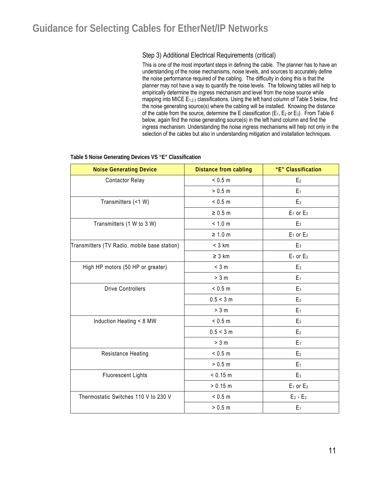### Step 3) Additional Electrical Requirements (critical)

This is one of the most important steps in defining the cable. The planner has to have an understanding of the noise mechanisms, noise levels, and sources to accurately define the noise performance required of the cabling. The difficulty in doing this is that the planner may not have a way to quantify the noise levels. The following tables will help to empirically determine the ingress mechanism and level from the noise source while mapping into MICE  $E_{1,2,3}$  classifications. Using the left hand column of Table 5 below, find the noise generating source(s) where the cabling will be installed. Knowing the distance of the cable from the source, determine the E classification ( $E_1$ ,  $E_2$  or  $E_3$ ). From Table 6 below, again find the noise generating source(s) in the left hand column and find the ingress mechanism. Understanding the noise ingress mechanisms will help not only in the selection of the cables but also in understanding mitigation and installation techniques.

| <b>Noise Generating Device</b>               | <b>Distance from cabling</b> | "E" Classification |
|----------------------------------------------|------------------------------|--------------------|
| <b>Contactor Relay</b>                       | < 0.5 m                      | E <sub>2</sub>     |
|                                              | > 0.5 m                      | $E_1$              |
| Transmitters (<1 W)                          | < 0.5 m                      | E <sub>3</sub>     |
|                                              | $\geq 0.5$ m                 | $E_1$ or $E_2$     |
| Transmitters (1 W to 3 W)                    | < 1.0 m                      | E <sub>3</sub>     |
|                                              | $\geq 1.0$ m                 | $E_1$ or $E_2$     |
| Transmitters (TV Radio. mobile base station) | $<$ 3 km                     | E <sub>3</sub>     |
|                                              | $\geq 3$ km                  | $E_1$ or $E_2$     |
| High HP motors (50 HP or greater)            | $<$ 3 m                      | E <sub>3</sub>     |
|                                              | > 3 m                        | $E_1$              |
| <b>Drive Controllers</b>                     | < 0.5 m                      | $E_3$              |
|                                              | 0.5 < 3 m                    | E <sub>2</sub>     |
|                                              | > 3 m                        | $E_1$              |
| Induction Heating < 8 MW                     | < 0.5 m                      | E <sub>3</sub>     |
|                                              | 0.5 < 3 m                    | E <sub>2</sub>     |
|                                              | > 3 m                        | $E_1$              |
| Resistance Heating                           | < 0.5 m                      | E <sub>2</sub>     |
|                                              | > 0.5 m                      | $E_1$              |
| <b>Fluorescent Lights</b>                    | < 0.15 m                     | E <sub>3</sub>     |
|                                              | > 0.15 m                     | $E_1$ or $E_2$     |
| Thermostatic Switches 110 V to 230 V         | < 0.5 m                      | $E_2 - E_3$        |
|                                              | > 0.5 m                      | $E_1$              |

#### **Table 5 Noise Generating Devices VS "E" Classification**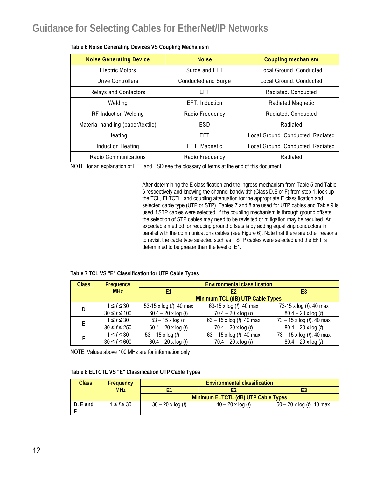| <b>Noise Generating Device</b>    | <b>Noise</b>        | Coupling mechanism                |
|-----------------------------------|---------------------|-----------------------------------|
| Electric Motors                   | Surge and EFT       | Local Ground, Conducted           |
| Drive Controllers                 | Conducted and Surge | Local Ground, Conducted           |
| <b>Relays and Contactors</b>      | <b>EFT</b>          | Radiated, Conducted               |
| Welding                           | EFT. Induction      | Radiated Magnetic                 |
| <b>RF Induction Welding</b>       | Radio Frequency     | Radiated, Conducted               |
| Material handling (paper/textile) | ESD                 | Radiated                          |
| Heating                           | <b>EFT</b>          | Local Ground, Conducted, Radiated |
| Induction Heating                 | EFT. Magnetic       | Local Ground, Conducted, Radiated |
| Radio Communications              | Radio Frequency     | Radiated                          |

#### **Table 6 Noise Generating Devices VS Coupling Mechanism**

NOTE: for an explanation of EFT and ESD see the glossary of terms at the end of this document.

After determining the E classification and the ingress mechanism from Table 5 and Table 6 respectively and knowing the channel bandwidth (Class D.E or F) from step 1, look up the TCL, ELTCTL, and coupling attenuation for the appropriate E classification and selected cable type (UTP or STP). Tables 7 and 8 are used for UTP cables and Table 9 is used if STP cables were selected. If the coupling mechanism is through ground offsets, the selection of STP cables may need to be revisited or mitigation may be required. An expectable method for reducing ground offsets is by adding equalizing conductors in parallel with the communications cables (see Figure 6). Note that there are other reasons to revisit the cable type selected such as if STP cables were selected and the EFT is determined to be greater than the level of E1.

#### **Table 7 TCL VS "E" Classification for UTP Cable Types**

| <b>Class</b> | <b>Frequency</b>   | <b>Environmental classification</b> |                                    |                                   |  |  |
|--------------|--------------------|-------------------------------------|------------------------------------|-----------------------------------|--|--|
|              | <b>MHz</b>         | F1                                  |                                    | E3                                |  |  |
|              |                    | Minimum TCL (dB) UTP Cable Types    |                                    |                                   |  |  |
| D            | $1 \leq f \leq 30$ | 53-15 x log (f). 40 max             | 63-15 x log (f). 40 max            | 73-15 x log (f). 40 max           |  |  |
|              | $30 \le f \le 100$ | $60.4 - 20 \times \log{(f)}$        | $70.4 - 20 \times \log{(f)}$       | $80.4 - 20 \times \log(f)$        |  |  |
|              | $1 \le f \le 30$   | $53 - 15 \times \log(r)$            | 63 – 15 x log ( <i>f</i> ). 40 max | 73 - 15 x log (f). 40 max         |  |  |
|              | $30 \le f \le 250$ | $60.4 - 20 \times \log(f)$          | $70.4 - 20 \times \log{(f)}$       | $80.4 - 20 \times \log(f)$        |  |  |
|              | $1 \leq f \leq 30$ | $53 - 15 \times \log(r)$            | 63 – 15 x log ( <i>f</i> ). 40 max | $73 - 15 \times \log(r)$ . 40 max |  |  |
|              | $30 \le f \le 600$ | $60.4 - 20 \times \log(f)$          | $70.4 - 20 \times \log{(f)}$       | $80.4 - 20 \times \log(f)$        |  |  |

NOTE: Values above 100 MHz are for information only

| <b>Class</b> | <b>Frequency</b> | <b>Environmental classification</b>                                                          |  |  |  |  |
|--------------|------------------|----------------------------------------------------------------------------------------------|--|--|--|--|
|              | <b>MHz</b>       |                                                                                              |  |  |  |  |
|              |                  | Minimum ELTCTL (dB) UTP Cable Types                                                          |  |  |  |  |
| D. E and     | $1 \le f \le 30$ | $30 - 20 \times \log{(f)}$<br>$50 - 20 \times \log(h)$ . 40 max.<br>$40 - 20 \times \log(f)$ |  |  |  |  |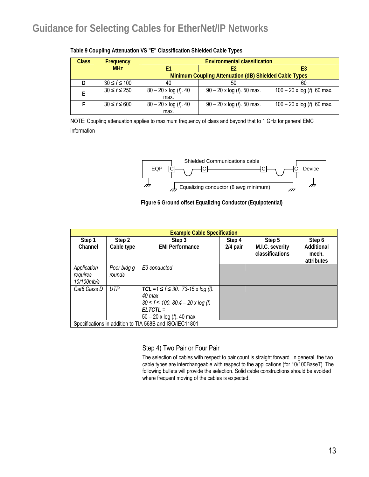| Class | Frequency          | <b>Environmental classification</b>                    |                                    |                                        |  |  |  |
|-------|--------------------|--------------------------------------------------------|------------------------------------|----------------------------------------|--|--|--|
|       | <b>MHz</b>         | F2                                                     |                                    | E3                                     |  |  |  |
|       |                    | Minimum Coupling Attenuation (dB) Shielded Cable Types |                                    |                                        |  |  |  |
|       | $30 \le f \le 100$ | 40                                                     | 50                                 | 60                                     |  |  |  |
|       | $30 \le f \le 250$ | $80 - 20 \times \log(r)$ . 40<br>max.                  | $90 - 20 \times \log(f)$ . 50 max. | $100 - 20$ x log ( <i>f</i> ). 60 max. |  |  |  |
|       | $30 \le f \le 600$ | $80 - 20 \times \log(r)$ . 40                          | $90 - 20 \times \log(f)$ . 50 max. | $100 - 20$ x log ( <i>f</i> ). 60 max. |  |  |  |
|       |                    | max.                                                   |                                    |                                        |  |  |  |

**Table 9 Coupling Attenuation VS "E" Classification Shielded Cable Types** 

NOTE: Coupling attenuation applies to maximum frequency of class and beyond that to 1 GHz for general EMC information



#### **Figure 6 Ground offset Equalizing Conductor (Equipotential)**

| <b>Example Cable Specification</b>                      |                       |                                                                                                                                                      |                    |                                              |                                             |
|---------------------------------------------------------|-----------------------|------------------------------------------------------------------------------------------------------------------------------------------------------|--------------------|----------------------------------------------|---------------------------------------------|
| Step 1<br>Channel                                       | Step 2<br>Cable type  | Step 3<br><b>EMI Performance</b>                                                                                                                     | Step 4<br>2/4 pair | Step 5<br>M.I.C. severity<br>classifications | Step 6<br>Additional<br>mech.<br>attributes |
| Application<br>requires<br>10/100mb/s                   | Poor bldg g<br>rounds | E <sub>3</sub> conducted                                                                                                                             |                    |                                              |                                             |
| Cat6 Class D                                            | <b>UTP</b>            | $TCL = 1 \le f \le 30$ . 73-15 x log (f).<br>40 max<br>$30 \le f \le 100$ . $80.4 - 20x \log(f)$<br>$FITCTI =$<br>$50 - 20 \times \log(f)$ . 40 max. |                    |                                              |                                             |
| Specifications in addition to TIA 568B and ISO/IEC11801 |                       |                                                                                                                                                      |                    |                                              |                                             |

Step 4) Two Pair or Four Pair

The selection of cables with respect to pair count is straight forward. In general, the two cable types are interchangeable with respect to the applications (for 10/100BaseT). The following bullets will provide the selection. Solid cable constructions should be avoided where frequent moving of the cables is expected.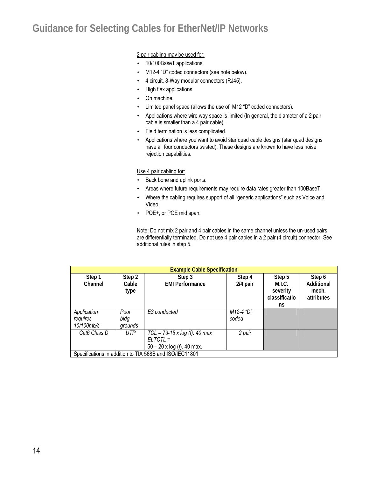2 pair cabling may be used for:

- 10/100BaseT applications.
- M12-4 "D" coded connectors (see note below).
- 4 circuit. 8-Way modular connectors (RJ45).
- High flex applications.
- On machine.
- Limited panel space (allows the use of M12 "D" coded connectors).
- Applications where wire way space is limited (In general, the diameter of a 2 pair cable is smaller than a 4 pair cable).
- Field termination is less complicated.
- Applications where you want to avoid star quad cable designs (star quad designs have all four conductors twisted). These designs are known to have less noise rejection capabilities.

Use 4 pair cabling for:

- **+** Back bone and uplink ports.
- Areas where future requirements may require data rates greater than 100BaseT.
- Where the cabling requires support of all "generic applications" such as Voice and Video.
- POE+, or POE mid span.

Note: Do not mix 2 pair and 4 pair cables in the same channel unless the un-used pairs are differentially terminated. Do not use 4 pair cables in a 2 pair (4 circuit) connector. See additional rules in step 5.

| <b>Example Cable Specification</b>                      |                         |                                                                                          |                    |                                                     |                                             |  |
|---------------------------------------------------------|-------------------------|------------------------------------------------------------------------------------------|--------------------|-----------------------------------------------------|---------------------------------------------|--|
| Step 1<br>Channel                                       | Step 2<br>Cable<br>type | Step 3<br><b>EMI Performance</b>                                                         | Step 4<br>2/4 pair | Step 5<br>M.I.C.<br>severity<br>classificatio<br>ns | Step 6<br>Additional<br>mech.<br>attributes |  |
| Application<br>requires<br>10/100mb/s                   | Poor<br>bldg<br>grounds | E3 conducted                                                                             | M12-4 "D"<br>coded |                                                     |                                             |  |
| Cat6 Class D                                            | <b>UTP</b>              | $TCL = 73-15 \times log(f)$ . 40 max<br>$ELTCTL =$<br>$50 - 20 \times \log(f)$ . 40 max. | 2 pair             |                                                     |                                             |  |
| Specifications in addition to TIA 568B and ISO/IEC11801 |                         |                                                                                          |                    |                                                     |                                             |  |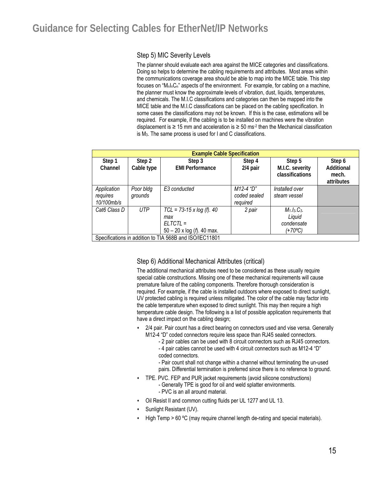#### Step 5) MIC Severity Levels

The planner should evaluate each area against the MICE categories and classifications. Doing so helps to determine the cabling requirements and attributes. Most areas within the communications coverage area should be able to map into the MICE table. This step focuses on "M<sub>n</sub>I<sub>n</sub>C<sub>n</sub>" aspects of the environment. For example, for cabling on a machine, the planner must know the approximate levels of vibration, dust, liquids, temperatures, and chemicals. The M.I.C classifications and categories can then be mapped into the MICE table and the M.I.C classifications can be placed on the cabling specification. In some cases the classifications may not be known. If this is the case, estimations will be required. For example, if the cabling is to be installed on machines were the vibration displacement is  $\geq 15$  mm and acceleration is  $\geq 50$  ms<sup>-2</sup> then the Mechanical classification is M3. The same process is used for I and C classifications.

| <b>Example Cable Specification</b>                      |                      |                                                                                                |                                       |                                                   |                                             |  |
|---------------------------------------------------------|----------------------|------------------------------------------------------------------------------------------------|---------------------------------------|---------------------------------------------------|---------------------------------------------|--|
| Step 1<br>Channel                                       | Step 2<br>Cable type | Step 3<br><b>EMI Performance</b>                                                               | Step 4<br>2/4 pair                    | Step 5<br>M.I.C. severity<br>classifications      | Step 6<br>Additional<br>mech.<br>attributes |  |
| Application<br>requires<br>10/100mb/s                   | Poor bldg<br>grounds | E <sub>3</sub> conducted                                                                       | M12-4 "D"<br>coded sealed<br>required | Installed over<br>steam vessel                    |                                             |  |
| Cat6 Class D                                            | <b>UTP</b>           | $TCL = 73-15 \times log(f)$ . 40<br>max<br>$ELTCTL =$<br>$50 - 20$ x log ( <i>f</i> ). 40 max. | 2 pair                                | $M_1.I_3.C_3.$<br>Liquid<br>condensate<br>(+70°C) |                                             |  |
| Specifications in addition to TIA 568B and ISO/IEC11801 |                      |                                                                                                |                                       |                                                   |                                             |  |

### Step 6) Additional Mechanical Attributes (critical)

The additional mechanical attributes need to be considered as these usually require special cable constructions. Missing one of these mechanical requirements will cause premature failure of the cabling components. Therefore thorough consideration is required. For example, if the cable is installed outdoors where exposed to direct sunlight, UV protected cabling is required unless mitigated. The color of the cable may factor into the cable temperature when exposed to direct sunlight. This may then require a high temperature cable design. The following is a list of possible application requirements that have a direct impact on the cabling design;

- 2/4 pair. Pair count has a direct bearing on connectors used and vise versa. Generally M12-4 "D" coded connectors require less space than RJ45 sealed connectors.
	- 2 pair cables can be used with 8 circuit connectors such as RJ45 connectors. - 4 pair cables cannot be used with 4 circuit connectors such as M12-4 "D" coded connectors.
	- Pair count shall not change within a channel without terminating the un-used pairs. Differential termination is preferred since there is no reference to ground.
- TPE. PVC. FEP and PUR jacket requirements (avoid silicone constructions)
	- Generally TPE is good for oil and weld splatter environments. - PVC is an all around material.
- Oil Resist II and common cutting fluids per UL 1277 and UL 13.
- Sunlight Resistant (UV).
- High Temp > 60 °C (may require channel length de-rating and special materials).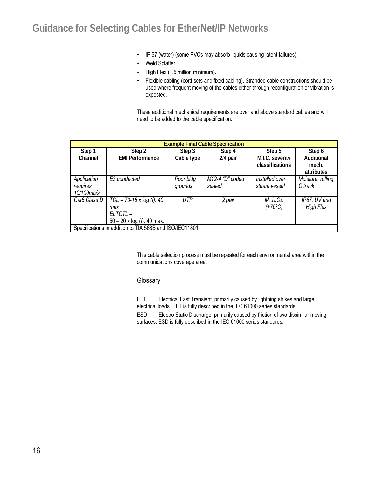- IP 67 (water) (some PVCs may absorb liquids causing latent failures).
- Weld Splatter.
- $\cdot$  High Flex (1.5 million minimum).
- Flexible cabling (cord sets and fixed cabling). Stranded cable constructions should be used where frequent moving of the cables either through reconfiguration or vibration is expected.

These additional mechanical requirements are over and above standard cables and will need to be added to the cable specification.

| <b>Example Final Cable Specification</b>                |                                       |            |                 |                        |                   |  |  |
|---------------------------------------------------------|---------------------------------------|------------|-----------------|------------------------|-------------------|--|--|
| Step 1                                                  | Step 2                                | Step 3     | Step 4          | Step 5                 | Step 6            |  |  |
| Channel                                                 | <b>EMI Performance</b>                | Cable type | 2/4 pair        | M.I.C. severity        | Additional        |  |  |
|                                                         |                                       |            |                 | <b>classifications</b> | mech.             |  |  |
|                                                         |                                       |            |                 |                        | attributes        |  |  |
| Application                                             | E <sub>3</sub> conducted              | Poor bldg  | M12-4 "D" coded | Installed over         | Moisture. rolling |  |  |
| requires                                                |                                       | grounds    | sealed          | steam vessel           | C track           |  |  |
| 10/100mb/s                                              |                                       |            |                 |                        |                   |  |  |
| Cat6 Class D                                            | $TCL = 73-15 \times log(f)$ . 40      | <b>UTP</b> | 2 pair          | $M_1.I_1.C_3.$         | IP67. UV and      |  |  |
|                                                         | max                                   |            |                 | (+70°C)                | <b>High Flex</b>  |  |  |
|                                                         | $ELTCTL =$                            |            |                 |                        |                   |  |  |
|                                                         | $50 - 20$ x log ( <i>f</i> ). 40 max. |            |                 |                        |                   |  |  |
| Specifications in addition to TIA 568B and ISO/IEC11801 |                                       |            |                 |                        |                   |  |  |

This cable selection process must be repeated for each environmental area within the communications coverage area.

#### **Glossary**

EFT Electrical Fast Transient, primarily caused by lightning strikes and large electrical loads. EFT is fully described in the IEC 61000 series standards

ESD Electro Static Discharge, primarily caused by friction of two dissimilar moving surfaces. ESD is fully described in the IEC 61000 series standards.